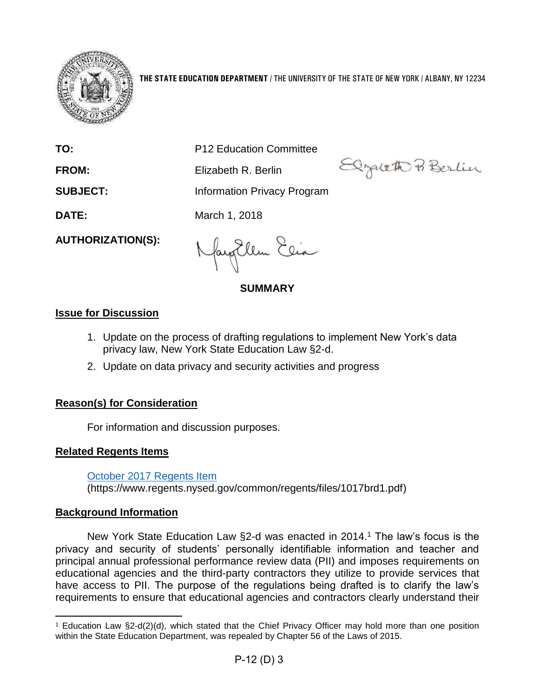

**THE STATE EDUCATION DEPARTMENT** / THE UNIVERSITY OF THE STATE OF NEW YORK / ALBANY, NY 12234

Elgatett Berlin

**TO:** P12 Education Committee

**FROM:** Flizabeth R. Berlin

**SUBJECT:** Information Privacy Program

**DATE:** March 1, 2018

**AUTHORIZATION(S):**

fayillen Elia

**SUMMARY**

## **Issue for Discussion**

- 1. Update on the process of drafting regulations to implement New York's data privacy law, New York State Education Law §2-d.
- 2. Update on data privacy and security activities and progress

# **Reason(s) for Consideration**

For information and discussion purposes.

## **Related Regents Items**

[October 2017 Regents Item](https://www.regents.nysed.gov/common/regents/files/1017brd1.pdf)

(https://www.regents.nysed.gov/common/regents/files/1017brd1.pdf)

# **Background Information**

New York State Education Law §2-d was enacted in 2014. <sup>1</sup> The law's focus is the privacy and security of students' personally identifiable information and teacher and principal annual professional performance review data (PII) and imposes requirements on educational agencies and the third-party contractors they utilize to provide services that have access to PII. The purpose of the regulations being drafted is to clarify the law's requirements to ensure that educational agencies and contractors clearly understand their

<sup>1</sup> Education Law §2-d(2)(d), which stated that the Chief Privacy Officer may hold more than one position within the State Education Department, was repealed by Chapter 56 of the Laws of 2015.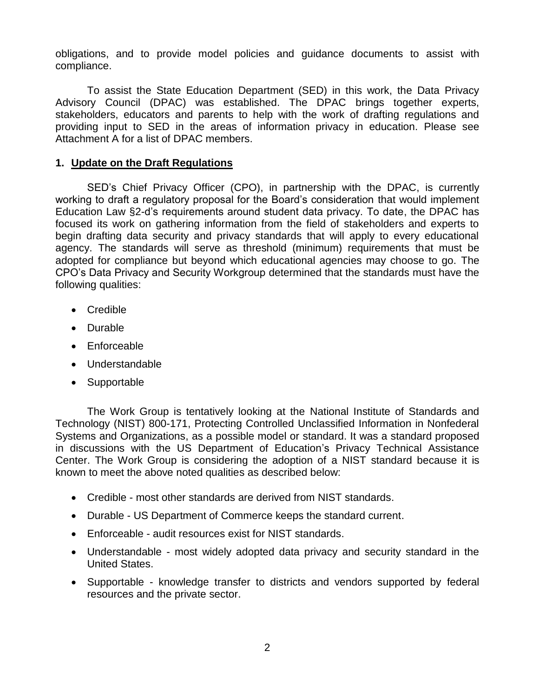obligations, and to provide model policies and guidance documents to assist with compliance.

To assist the State Education Department (SED) in this work, the Data Privacy Advisory Council (DPAC) was established. The DPAC brings together experts, stakeholders, educators and parents to help with the work of drafting regulations and providing input to SED in the areas of information privacy in education. Please see Attachment A for a list of DPAC members.

## **1. Update on the Draft Regulations**

SED's Chief Privacy Officer (CPO), in partnership with the DPAC, is currently working to draft a regulatory proposal for the Board's consideration that would implement Education Law §2-d's requirements around student data privacy. To date, the DPAC has focused its work on gathering information from the field of stakeholders and experts to begin drafting data security and privacy standards that will apply to every educational agency. The standards will serve as threshold (minimum) requirements that must be adopted for compliance but beyond which educational agencies may choose to go. The CPO's Data Privacy and Security Workgroup determined that the standards must have the following qualities:

- Credible
- Durable
- Enforceable
- Understandable
- Supportable

The Work Group is tentatively looking at the National Institute of Standards and Technology (NIST) 800-171, Protecting Controlled Unclassified Information in Nonfederal Systems and Organizations, as a possible model or standard. It was a standard proposed in discussions with the US Department of Education's Privacy Technical Assistance Center. The Work Group is considering the adoption of a NIST standard because it is known to meet the above noted qualities as described below:

- Credible most other standards are derived from NIST standards.
- Durable US Department of Commerce keeps the standard current.
- Enforceable audit resources exist for NIST standards.
- Understandable most widely adopted data privacy and security standard in the United States.
- Supportable knowledge transfer to districts and vendors supported by federal resources and the private sector.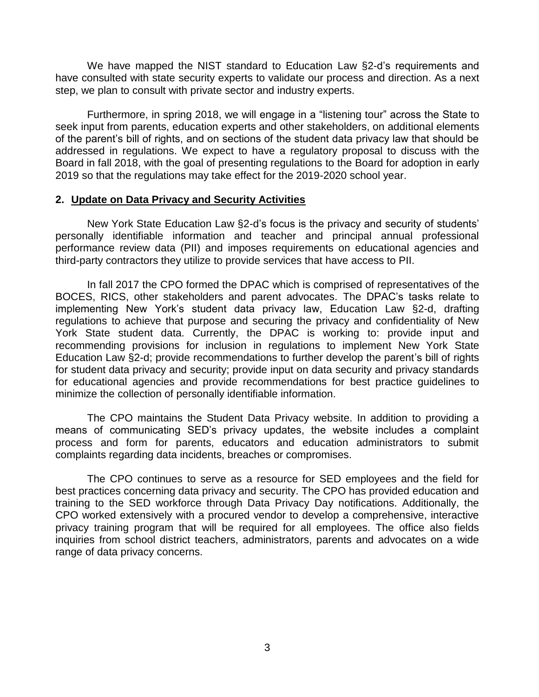We have mapped the NIST standard to Education Law §2-d's requirements and have consulted with state security experts to validate our process and direction. As a next step, we plan to consult with private sector and industry experts.

Furthermore, in spring 2018, we will engage in a "listening tour" across the State to seek input from parents, education experts and other stakeholders, on additional elements of the parent's bill of rights, and on sections of the student data privacy law that should be addressed in regulations. We expect to have a regulatory proposal to discuss with the Board in fall 2018, with the goal of presenting regulations to the Board for adoption in early 2019 so that the regulations may take effect for the 2019-2020 school year.

#### **2. Update on Data Privacy and Security Activities**

New York State Education Law §2-d's focus is the privacy and security of students' personally identifiable information and teacher and principal annual professional performance review data (PII) and imposes requirements on educational agencies and third-party contractors they utilize to provide services that have access to PII.

In fall 2017 the CPO formed the DPAC which is comprised of representatives of the BOCES, RICS, other stakeholders and parent advocates. The DPAC's tasks relate to implementing New York's student data privacy law, Education Law §2-d, drafting regulations to achieve that purpose and securing the privacy and confidentiality of New York State student data. Currently, the DPAC is working to: provide input and recommending provisions for inclusion in regulations to implement New York State Education Law §2-d; provide recommendations to further develop the parent's bill of rights for student data privacy and security; provide input on data security and privacy standards for educational agencies and provide recommendations for best practice guidelines to minimize the collection of personally identifiable information.

The CPO maintains the Student Data Privacy website. In addition to providing a means of communicating SED's privacy updates, the website includes a complaint process and form for parents, educators and education administrators to submit complaints regarding data incidents, breaches or compromises.

The CPO continues to serve as a resource for SED employees and the field for best practices concerning data privacy and security. The CPO has provided education and training to the SED workforce through Data Privacy Day notifications. Additionally, the CPO worked extensively with a procured vendor to develop a comprehensive, interactive privacy training program that will be required for all employees. The office also fields inquiries from school district teachers, administrators, parents and advocates on a wide range of data privacy concerns.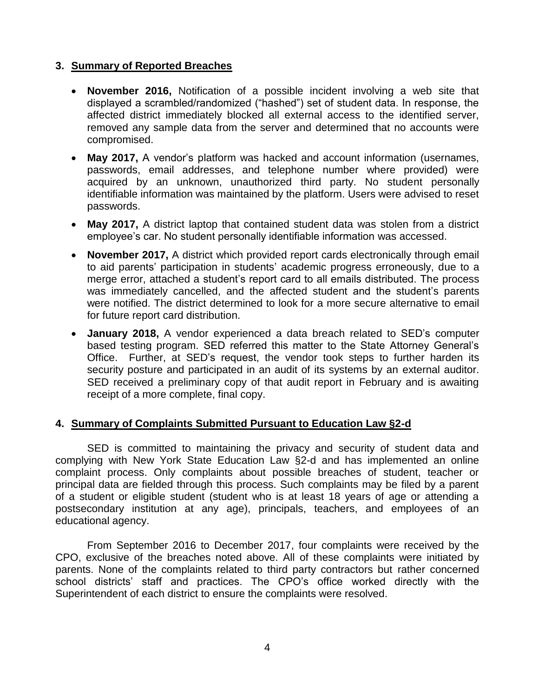## **3. Summary of Reported Breaches**

- **November 2016,** Notification of a possible incident involving a web site that displayed a scrambled/randomized ("hashed") set of student data. In response, the affected district immediately blocked all external access to the identified server, removed any sample data from the server and determined that no accounts were compromised.
- **May 2017, A vendor's platform was hacked and account information (usernames,** passwords, email addresses, and telephone number where provided) were acquired by an unknown, unauthorized third party. No student personally identifiable information was maintained by the platform. Users were advised to reset passwords.
- **May 2017,** A district laptop that contained student data was stolen from a district employee's car. No student personally identifiable information was accessed.
- **November 2017,** A district which provided report cards electronically through email to aid parents' participation in students' academic progress erroneously, due to a merge error, attached a student's report card to all emails distributed. The process was immediately cancelled, and the affected student and the student's parents were notified. The district determined to look for a more secure alternative to email for future report card distribution.
- **January 2018,** A vendor experienced a data breach related to SED's computer based testing program. SED referred this matter to the State Attorney General's Office. Further, at SED's request, the vendor took steps to further harden its security posture and participated in an audit of its systems by an external auditor. SED received a preliminary copy of that audit report in February and is awaiting receipt of a more complete, final copy.

## **4. Summary of Complaints Submitted Pursuant to Education Law §2-d**

SED is committed to maintaining the privacy and security of student data and complying with New York State Education Law §2-d and has implemented an online complaint process. Only complaints about possible breaches of student, teacher or principal data are fielded through this process. Such complaints may be filed by a parent of a student or eligible student (student who is at least 18 years of age or attending a postsecondary institution at any age), principals, teachers, and employees of an educational agency.

From September 2016 to December 2017, four complaints were received by the CPO, exclusive of the breaches noted above. All of these complaints were initiated by parents. None of the complaints related to third party contractors but rather concerned school districts' staff and practices. The CPO's office worked directly with the Superintendent of each district to ensure the complaints were resolved.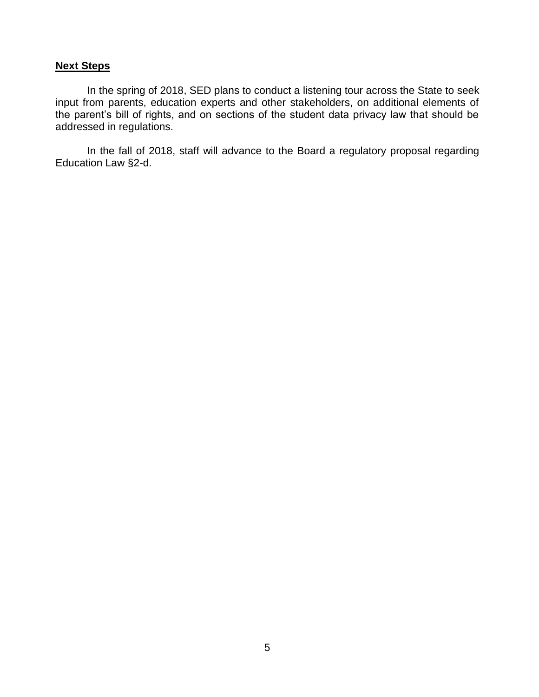## **Next Steps**

In the spring of 2018, SED plans to conduct a listening tour across the State to seek input from parents, education experts and other stakeholders, on additional elements of the parent's bill of rights, and on sections of the student data privacy law that should be addressed in regulations.

In the fall of 2018, staff will advance to the Board a regulatory proposal regarding Education Law §2-d.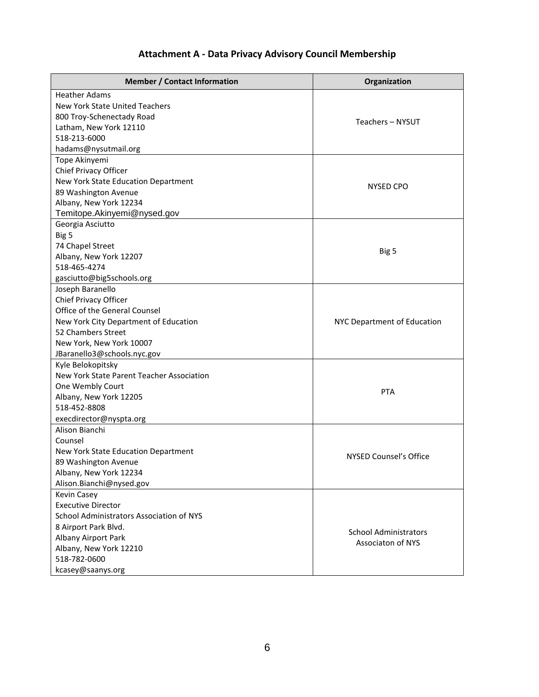# **Attachment A - Data Privacy Advisory Council Membership**

| <b>Member / Contact Information</b>       | Organization                  |
|-------------------------------------------|-------------------------------|
| <b>Heather Adams</b>                      |                               |
| New York State United Teachers            |                               |
| 800 Troy-Schenectady Road                 | Teachers - NYSUT              |
| Latham, New York 12110                    |                               |
| 518-213-6000                              |                               |
| hadams@nysutmail.org                      |                               |
| Tope Akinyemi                             |                               |
| Chief Privacy Officer                     |                               |
| New York State Education Department       | <b>NYSED CPO</b>              |
| 89 Washington Avenue                      |                               |
| Albany, New York 12234                    |                               |
| Temitope.Akinyemi@nysed.gov               |                               |
| Georgia Asciutto                          |                               |
| Big 5                                     |                               |
| 74 Chapel Street                          |                               |
| Albany, New York 12207                    | Big 5                         |
| 518-465-4274                              |                               |
| gasciutto@big5schools.org                 |                               |
| Joseph Baranello                          |                               |
| Chief Privacy Officer                     |                               |
| Office of the General Counsel             |                               |
| New York City Department of Education     | NYC Department of Education   |
| 52 Chambers Street                        |                               |
| New York, New York 10007                  |                               |
| JBaranello3@schools.nyc.gov               |                               |
| Kyle Belokopitsky                         |                               |
| New York State Parent Teacher Association |                               |
| One Wembly Court                          | <b>PTA</b>                    |
| Albany, New York 12205                    |                               |
| 518-452-8808                              |                               |
| execdirector@nyspta.org                   |                               |
| Alison Bianchi                            |                               |
| Counsel                                   |                               |
| New York State Education Department       | <b>NYSED Counsel's Office</b> |
| 89 Washington Avenue                      |                               |
| Albany, New York 12234                    |                               |
| Alison.Bianchi@nysed.gov                  |                               |
| <b>Kevin Casey</b>                        |                               |
| <b>Executive Director</b>                 |                               |
| School Administrators Association of NYS  |                               |
| 8 Airport Park Blvd.                      | <b>School Administrators</b>  |
| Albany Airport Park                       | <b>Associaton of NYS</b>      |
| Albany, New York 12210                    |                               |
| 518-782-0600                              |                               |
| kcasey@saanys.org                         |                               |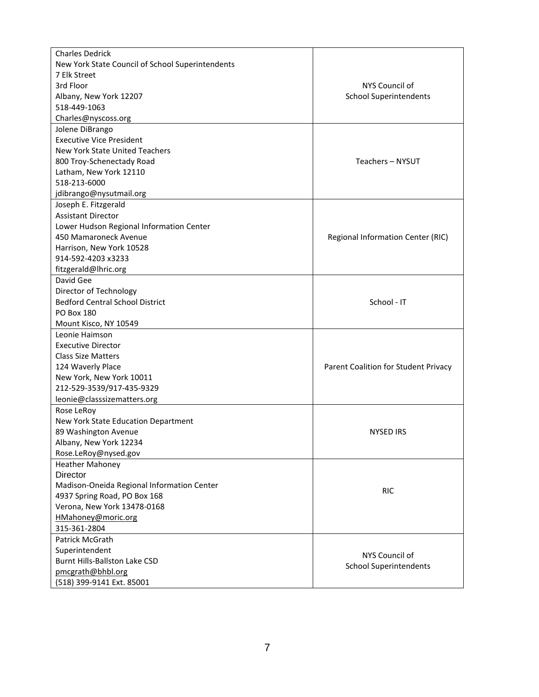| <b>Charles Dedrick</b>                           |                                      |
|--------------------------------------------------|--------------------------------------|
| New York State Council of School Superintendents |                                      |
| 7 Elk Street                                     |                                      |
| 3rd Floor                                        | NYS Council of                       |
| Albany, New York 12207                           | <b>School Superintendents</b>        |
| 518-449-1063                                     |                                      |
| Charles@nyscoss.org                              |                                      |
| Jolene DiBrango                                  |                                      |
| <b>Executive Vice President</b>                  |                                      |
| <b>New York State United Teachers</b>            |                                      |
| 800 Troy-Schenectady Road                        | Teachers - NYSUT                     |
| Latham, New York 12110                           |                                      |
| 518-213-6000                                     |                                      |
| jdibrango@nysutmail.org                          |                                      |
| Joseph E. Fitzgerald                             |                                      |
| <b>Assistant Director</b>                        |                                      |
| Lower Hudson Regional Information Center         |                                      |
| 450 Mamaroneck Avenue                            | Regional Information Center (RIC)    |
| Harrison, New York 10528                         |                                      |
| 914-592-4203 x3233                               |                                      |
| fitzgerald@lhric.org                             |                                      |
| David Gee                                        |                                      |
| Director of Technology                           |                                      |
| <b>Bedford Central School District</b>           | School - IT                          |
| <b>PO Box 180</b>                                |                                      |
| Mount Kisco, NY 10549                            |                                      |
| Leonie Haimson                                   |                                      |
| <b>Executive Director</b>                        |                                      |
| <b>Class Size Matters</b>                        |                                      |
| 124 Waverly Place                                | Parent Coalition for Student Privacy |
| New York, New York 10011                         |                                      |
| 212-529-3539/917-435-9329                        |                                      |
| leonie@classsizematters.org                      |                                      |
| Rose LeRoy                                       |                                      |
| New York State Education Department              |                                      |
| 89 Washington Avenue                             | <b>NYSED IRS</b>                     |
| Albany, New York 12234                           |                                      |
| Rose.LeRoy@nysed.gov                             |                                      |
| <b>Heather Mahoney</b>                           |                                      |
| Director                                         |                                      |
| Madison-Oneida Regional Information Center       |                                      |
| 4937 Spring Road, PO Box 168                     | <b>RIC</b>                           |
| Verona, New York 13478-0168                      |                                      |
| HMahoney@moric.org                               |                                      |
| 315-361-2804                                     |                                      |
| Patrick McGrath                                  |                                      |
| Superintendent                                   |                                      |
| <b>Burnt Hills-Ballston Lake CSD</b>             | NYS Council of                       |
| pmcgrath@bhbl.org                                | <b>School Superintendents</b>        |
| (518) 399-9141 Ext. 85001                        |                                      |